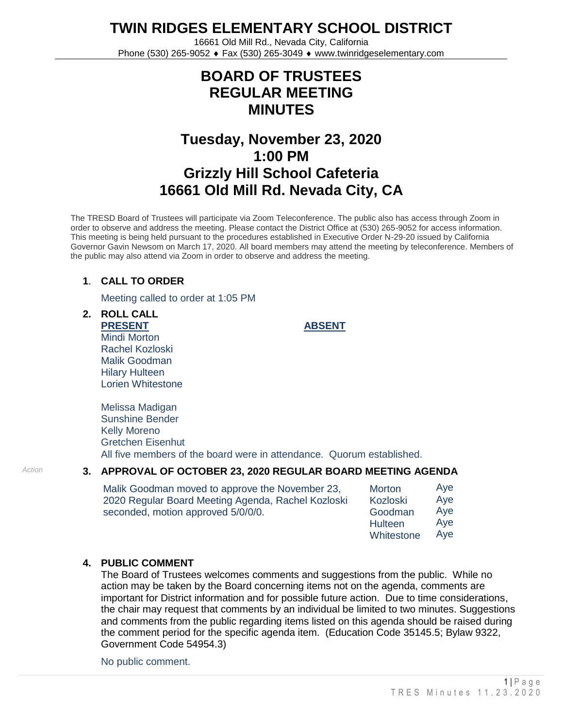**TWIN RIDGES ELEMENTARY SCHOOL DISTRICT**

16661 Old Mill Rd., Nevada City, California Phone (530) 265-9052 ♦ Fax (530) 265-3049 ♦ www.twinridgeselementary.com

## **BOARD OF TRUSTEES REGULAR MEETING MINUTES**

# **Tuesday, November 23, 2020 1:00 PM Grizzly Hill School Cafeteria 16661 Old Mill Rd. Nevada City, CA**

The TRESD Board of Trustees will participate via Zoom Teleconference. The public also has access through Zoom in order to observe and address the meeting. Please contact the District Office at (530) 265-9052 for access information. This meeting is being held pursuant to the procedures established in Executive Order N-29-20 issued by California Governor Gavin Newsom on March 17, 2020. All board members may attend the meeting by teleconference. Members of the public may also attend via Zoom in order to observe and address the meeting.

## **1**. **CALL TO ORDER**

Meeting called to order at 1:05 PM

**2. ROLL CALL PRESENT** Mindi Morton Rachel Kozloski Malik Goodman Hilary Hulteen Lorien Whitestone

**ABSENT**

Melissa Madigan Sunshine Bender Kelly Moreno Gretchen Eisenhut All five members of the board were in attendance. Quorum established.

## *Action* **3. APPROVAL OF OCTOBER 23, 2020 REGULAR BOARD MEETING AGENDA**

Malik Goodman moved to approve the November 23, 2020 Regular Board Meeting Agenda, Rachel Kozloski seconded, motion approved 5/0/0/0. Morton

| <b>Morton</b>  | Aye |
|----------------|-----|
| Kozloski       | Aye |
| Goodman        | Aye |
| <b>Hulteen</b> | Aye |
| Whitestone     | Aye |

#### **4. PUBLIC COMMENT**

The Board of Trustees welcomes comments and suggestions from the public. While no action may be taken by the Board concerning items not on the agenda, comments are important for District information and for possible future action. Due to time considerations, the chair may request that comments by an individual be limited to two minutes. Suggestions and comments from the public regarding items listed on this agenda should be raised during the comment period for the specific agenda item. (Education Code 35145.5; Bylaw 9322, Government Code 54954.3)

No public comment.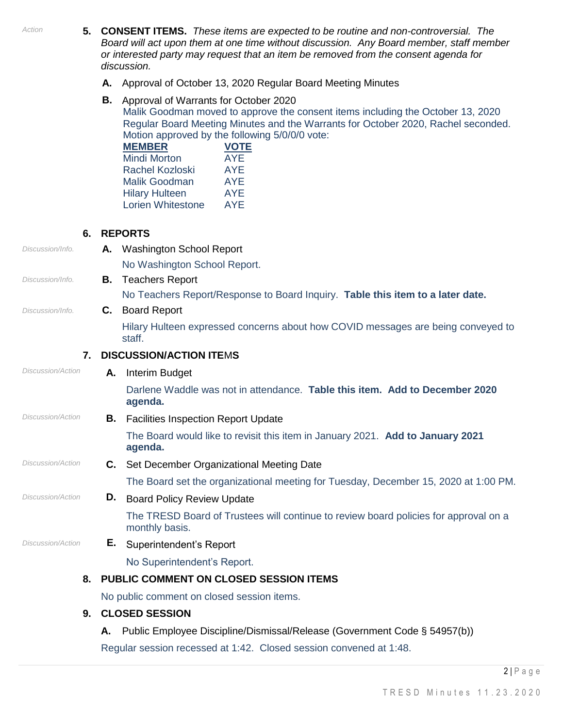*Action* **5. CONSENT ITEMS.** *These items are expected to be routine and non-controversial. The Board will act upon them at one time without discussion. Any Board member, staff member or interested party may request that an item be removed from the consent agenda for discussion.* **A.** Approval of October 13, 2020 Regular Board Meeting Minutes **B.** Approval of Warrants for October <sup>2020</sup> Malik Goodman moved to approve the consent items including the October 13, 2020 Regular Board Meeting Minutes and the Warrants for October 2020, Rachel seconded. Motion approved by the following 5/0/0/0 vote: **MEMBER** Mindi Morton Rachel Kozloski Malik Goodman Hilary Hulteen Lorien Whitestone **VOTE** AYE AYE AYE AYE AYE **6. REPORTS** *Discussion/Info.* **A.** Washington School Report No Washington School Report. *Discussion/Info.* **B.** Teachers Report No Teachers Report/Response to Board Inquiry. **Table this item to a later date.** *Discussion/Info.* **C.** Board Report Hilary Hulteen expressed concerns about how COVID messages are being conveyed to staff. **7. DISCUSSION/ACTION ITE**M**S** *Discussion/Action* **A.** Interim Budget Darlene Waddle was not in attendance. **Table this item. Add to December 2020 agenda.** *Discussion/Action* **B.** Facilities Inspection Report Update The Board would like to revisit this item in January 2021. **Add to January 2021 agenda.** *Discussion/Action* **C.** Set December Organizational Meeting Date The Board set the organizational meeting for Tuesday, December 15, 2020 at 1:00 PM. *Discussion/Action* **D.** Board Policy Review Update The TRESD Board of Trustees will continue to review board policies for approval on a monthly basis. *Discussion/Action* **E.** Superintendent's Report No Superintendent's Report. **8. PUBLIC COMMENT ON CLOSED SESSION ITEMS** No public comment on closed session items. **9. CLOSED SESSION** 

**A.** Public Employee Discipline/Dismissal/Release (Government Code § 54957(b))

Regular session recessed at 1:42. Closed session convened at 1:48.

 $2|P \text{ a } q e$